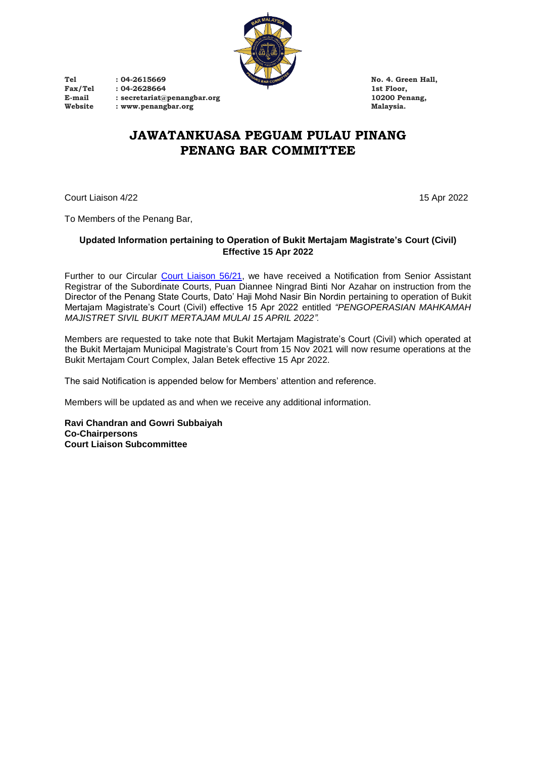

**Tel : 04-2615669 No. 4. Green Hall, Fax/Tel : 04-2628664 1st Floor, 1st Floor, 1st Floor, 19200 Permail 10200 Permail 10200 Permail E-mail : secretariat@penangbar.org 10200 Penang, Website : www.penangbar.org Malaysia.**

# **JAWATANKUASA PEGUAM PULAU PINANG PENANG BAR COMMITTEE**

Court Liaison 4/22 15 Apr 2022

To Members of the Penang Bar,

#### **Updated Information pertaining to Operation of Bukit Mertajam Magistrate's Court (Civil) Effective 15 Apr 2022**

Further to our Circular [Court Liaison 56/21,](https://penangbar.org/wp-content/uploads/2021/11/ctliaison-2021-56-full.pdf) we have received a Notification from Senior Assistant Registrar of the Subordinate Courts, Puan Diannee Ningrad Binti Nor Azahar on instruction from the Director of the Penang State Courts, Dato' Haji Mohd Nasir Bin Nordin pertaining to operation of Bukit Mertajam Magistrate's Court (Civil) effective 15 Apr 2022 entitled *"PENGOPERASIAN MAHKAMAH MAJISTRET SIVIL BUKIT MERTAJAM MULAI 15 APRIL 2022".*

Members are requested to take note that Bukit Mertajam Magistrate's Court (Civil) which operated at the Bukit Mertajam Municipal Magistrate's Court from 15 Nov 2021 will now resume operations at the Bukit Mertajam Court Complex, Jalan Betek effective 15 Apr 2022.

The said Notification is appended below for Members' attention and reference.

Members will be updated as and when we receive any additional information.

**Ravi Chandran and Gowri Subbaiyah Co-Chairpersons Court Liaison Subcommittee**